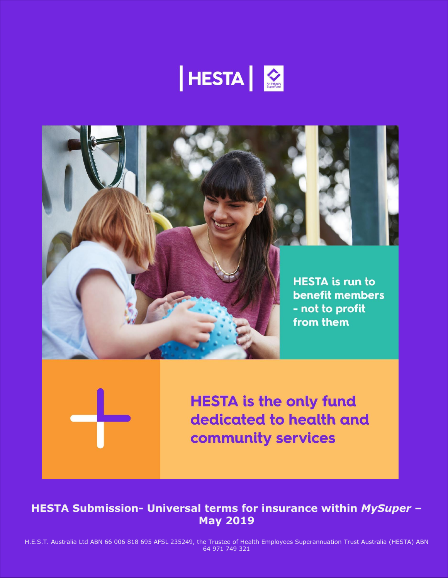



**HESTA is the only fund** dedicated to health and community services

**HESTA Submission- Universal terms for insurance within** *MySuper* **– May 2019**

H.E.S.T. Australia Ltd ABN 66 006 818 695 AFSL 235249, the Trustee of Health Employees Superannuation Trust Australia (HESTA) ABN 64 971 749 321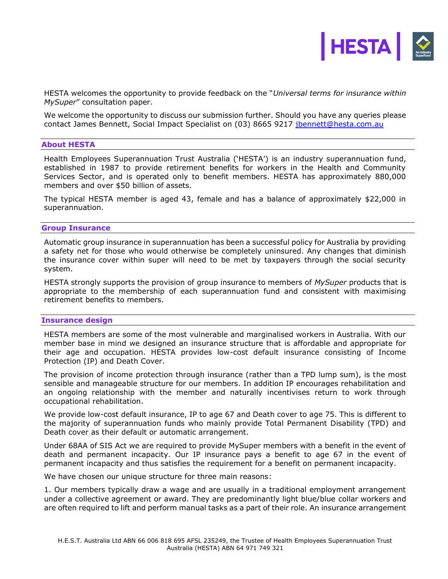

HESTA welcomes the opportunity to provide feedback on the "*Universal terms for insurance within MySuper*" consultation paper.

We welcome the opportunity to discuss our submission further. Should you have any queries please contact James Bennett, Social Impact Specialist on (03) 8665 9217 [jbennett@hesta.com.au](mailto:jbennett@hesta.com.au)

#### **About HESTA**

Health Employees Superannuation Trust Australia ('HESTA') is an industry superannuation fund, established in 1987 to provide retirement benefits for workers in the Health and Community Services Sector, and is operated only to benefit members. HESTA has approximately 880,000 members and over \$50 billion of assets.

The typical HESTA member is aged 43, female and has a balance of approximately \$22,000 in superannuation.

#### **Group Insurance**

Automatic group insurance in superannuation has been a successful policy for Australia by providing a safety net for those who would otherwise be completely uninsured. Any changes that diminish the insurance cover within super will need to be met by taxpayers through the social security system.

HESTA strongly supports the provision of group insurance to members of *MySuper* products that is appropriate to the membership of each superannuation fund and consistent with maximising retirement benefits to members.

#### **Insurance design**

HESTA members are some of the most vulnerable and marginalised workers in Australia. With our member base in mind we designed an insurance structure that is affordable and appropriate for their age and occupation. HESTA provides low-cost default insurance consisting of Income Protection (IP) and Death Cover.

The provision of income protection through insurance (rather than a TPD lump sum), is the most sensible and manageable structure for our members. In addition IP encourages rehabilitation and an ongoing relationship with the member and naturally incentivises return to work through occupational rehabilitation.

We provide low-cost default insurance, IP to age 67 and Death cover to age 75. This is different to the majority of superannuation funds who mainly provide Total Permanent Disability (TPD) and Death cover as their default or automatic arrangement.

Under 68AA of SIS Act we are required to provide MySuper members with a benefit in the event of death and permanent incapacity. Our IP insurance pays a benefit to age 67 in the event of permanent incapacity and thus satisfies the requirement for a benefit on permanent incapacity.

We have chosen our unique structure for three main reasons:

1. Our members typically draw a wage and are usually in a traditional employment arrangement under a collective agreement or award. They are predominantly light blue/blue collar workers and are often required to lift and perform manual tasks as a part of their role. An insurance arrangement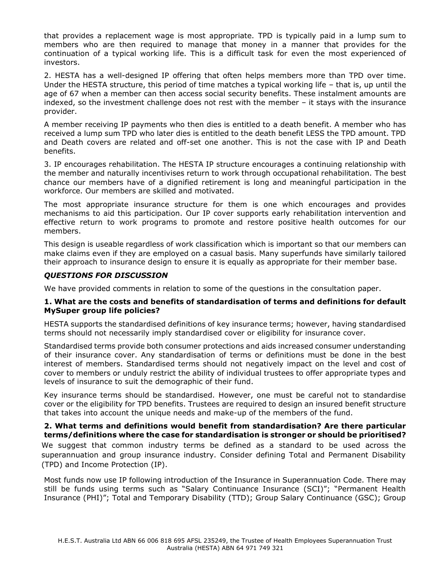that provides a replacement wage is most appropriate. TPD is typically paid in a lump sum to members who are then required to manage that money in a manner that provides for the continuation of a typical working life. This is a difficult task for even the most experienced of investors.

2. HESTA has a well-designed IP offering that often helps members more than TPD over time. Under the HESTA structure, this period of time matches a typical working life – that is, up until the age of 67 when a member can then access social security benefits. These instalment amounts are indexed, so the investment challenge does not rest with the member – it stays with the insurance provider.

A member receiving IP payments who then dies is entitled to a death benefit. A member who has received a lump sum TPD who later dies is entitled to the death benefit LESS the TPD amount. TPD and Death covers are related and off-set one another. This is not the case with IP and Death benefits.

3. IP encourages rehabilitation. The HESTA IP structure encourages a continuing relationship with the member and naturally incentivises return to work through occupational rehabilitation. The best chance our members have of a dignified retirement is long and meaningful participation in the workforce. Our members are skilled and motivated.

The most appropriate insurance structure for them is one which encourages and provides mechanisms to aid this participation. Our IP cover supports early rehabilitation intervention and effective return to work programs to promote and restore positive health outcomes for our members.

This design is useable regardless of work classification which is important so that our members can make claims even if they are employed on a casual basis. Many superfunds have similarly tailored their approach to insurance design to ensure it is equally as appropriate for their member base.

# *QUESTIONS FOR DISCUSSION*

We have provided comments in relation to some of the questions in the consultation paper.

# **1. What are the costs and benefits of standardisation of terms and definitions for default MySuper group life policies?**

HESTA supports the standardised definitions of key insurance terms; however, having standardised terms should not necessarily imply standardised cover or eligibility for insurance cover.

Standardised terms provide both consumer protections and aids increased consumer understanding of their insurance cover. Any standardisation of terms or definitions must be done in the best interest of members. Standardised terms should not negatively impact on the level and cost of cover to members or unduly restrict the ability of individual trustees to offer appropriate types and levels of insurance to suit the demographic of their fund.

Key insurance terms should be standardised. However, one must be careful not to standardise cover or the eligibility for TPD benefits. Trustees are required to design an insured benefit structure that takes into account the unique needs and make-up of the members of the fund.

**2. What terms and definitions would benefit from standardisation? Are there particular terms/definitions where the case for standardisation is stronger or should be prioritised?** We suggest that common industry terms be defined as a standard to be used across the superannuation and group insurance industry. Consider defining Total and Permanent Disability (TPD) and Income Protection (IP).

Most funds now use IP following introduction of the Insurance in Superannuation Code. There may still be funds using terms such as "Salary Continuance Insurance (SCI)"; "Permanent Health Insurance (PHI)"; Total and Temporary Disability (TTD); Group Salary Continuance (GSC); Group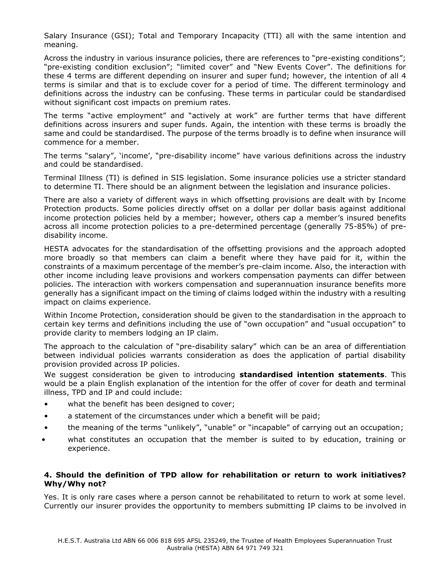Salary Insurance (GSI); Total and Temporary Incapacity (TTI) all with the same intention and meaning.

Across the industry in various insurance policies, there are references to "pre-existing conditions"; "pre-existing condition exclusion"; "limited cover" and "New Events Cover". The definitions for these 4 terms are different depending on insurer and super fund; however, the intention of all 4 terms is similar and that is to exclude cover for a period of time. The different terminology and definitions across the industry can be confusing. These terms in particular could be standardised without significant cost impacts on premium rates.

The terms "active employment" and "actively at work" are further terms that have different definitions across insurers and super funds. Again, the intention with these terms is broadly the same and could be standardised. The purpose of the terms broadly is to define when insurance will commence for a member.

The terms "salary", 'income', "pre-disability income" have various definitions across the industry and could be standardised.

Terminal Illness (TI) is defined in SIS legislation. Some insurance policies use a stricter standard to determine TI. There should be an alignment between the legislation and insurance policies.

There are also a variety of different ways in which offsetting provisions are dealt with by Income Protection products. Some policies directly offset on a dollar per dollar basis against additional income protection policies held by a member; however, others cap a member's insured benefits across all income protection policies to a pre-determined percentage (generally 75-85%) of predisability income.

HESTA advocates for the standardisation of the offsetting provisions and the approach adopted more broadly so that members can claim a benefit where they have paid for it, within the constraints of a maximum percentage of the member's pre-claim income. Also, the interaction with other income including leave provisions and workers compensation payments can differ between policies. The interaction with workers compensation and superannuation insurance benefits more generally has a significant impact on the timing of claims lodged within the industry with a resulting impact on claims experience.

Within Income Protection, consideration should be given to the standardisation in the approach to certain key terms and definitions including the use of "own occupation" and "usual occupation" to provide clarity to members lodging an IP claim.

The approach to the calculation of "pre-disability salary" which can be an area of differentiation between individual policies warrants consideration as does the application of partial disability provision provided across IP policies.

We suggest consideration be given to introducing **standardised intention statements**. This would be a plain English explanation of the intention for the offer of cover for death and terminal illness, TPD and IP and could include:

- what the benefit has been designed to cover;
- a statement of the circumstances under which a benefit will be paid;
- the meaning of the terms "unlikely", "unable" or "incapable" of carrying out an occupation;
- what constitutes an occupation that the member is suited to by education, training or experience.

# **4. Should the definition of TPD allow for rehabilitation or return to work initiatives? Why/Why not?**

Yes. It is only rare cases where a person cannot be rehabilitated to return to work at some level. Currently our insurer provides the opportunity to members submitting IP claims to be involved in